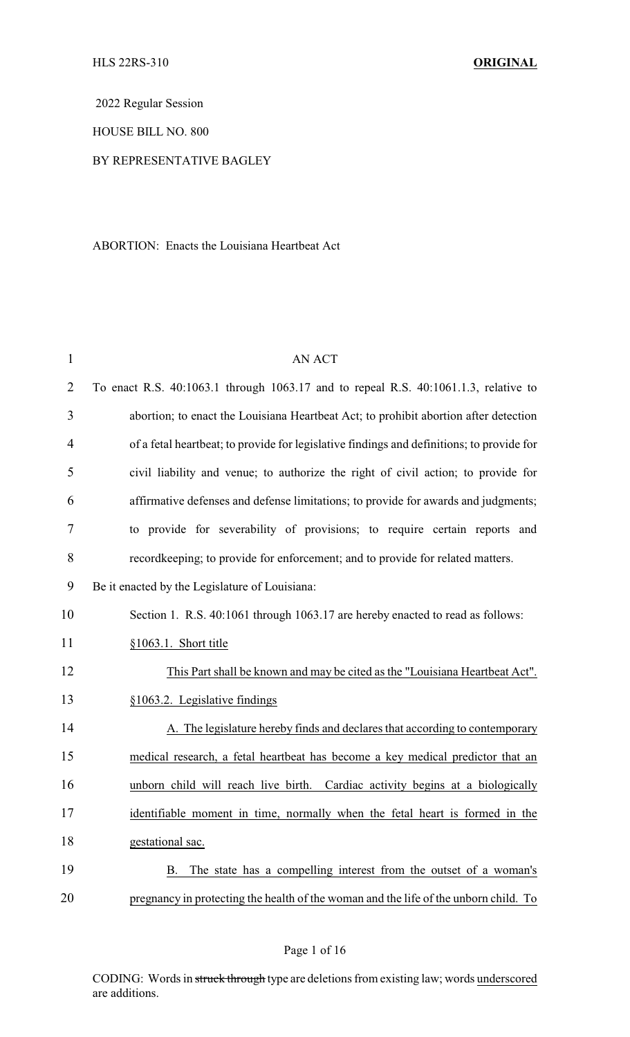2022 Regular Session

HOUSE BILL NO. 800

### BY REPRESENTATIVE BAGLEY

ABORTION: Enacts the Louisiana Heartbeat Act

| $\mathbf{1}$   | <b>AN ACT</b>                                                                             |
|----------------|-------------------------------------------------------------------------------------------|
| $\overline{2}$ | To enact R.S. 40:1063.1 through 1063.17 and to repeal R.S. 40:1061.1.3, relative to       |
| 3              | abortion; to enact the Louisiana Heartbeat Act; to prohibit abortion after detection      |
| $\overline{4}$ | of a fetal heartbeat; to provide for legislative findings and definitions; to provide for |
| 5              | civil liability and venue; to authorize the right of civil action; to provide for         |
| 6              | affirmative defenses and defense limitations; to provide for awards and judgments;        |
| 7              | to provide for severability of provisions; to require certain reports and                 |
| 8              | recordkeeping; to provide for enforcement; and to provide for related matters.            |
| 9              | Be it enacted by the Legislature of Louisiana:                                            |
| 10             | Section 1. R.S. 40:1061 through 1063.17 are hereby enacted to read as follows:            |
| 11             | §1063.1. Short title                                                                      |
| 12             | This Part shall be known and may be cited as the "Louisiana Heartbeat Act".               |
| 13             | §1063.2. Legislative findings                                                             |
| 14             | A. The legislature hereby finds and declares that according to contemporary               |
| 15             | medical research, a fetal heartbeat has become a key medical predictor that an            |
| 16             | unborn child will reach live birth. Cardiac activity begins at a biologically             |
| 17             | identifiable moment in time, normally when the fetal heart is formed in the               |
| 18             | gestational sac.                                                                          |
| 19             | The state has a compelling interest from the outset of a woman's<br>B.                    |
| 20             | pregnancy in protecting the health of the woman and the life of the unborn child. To      |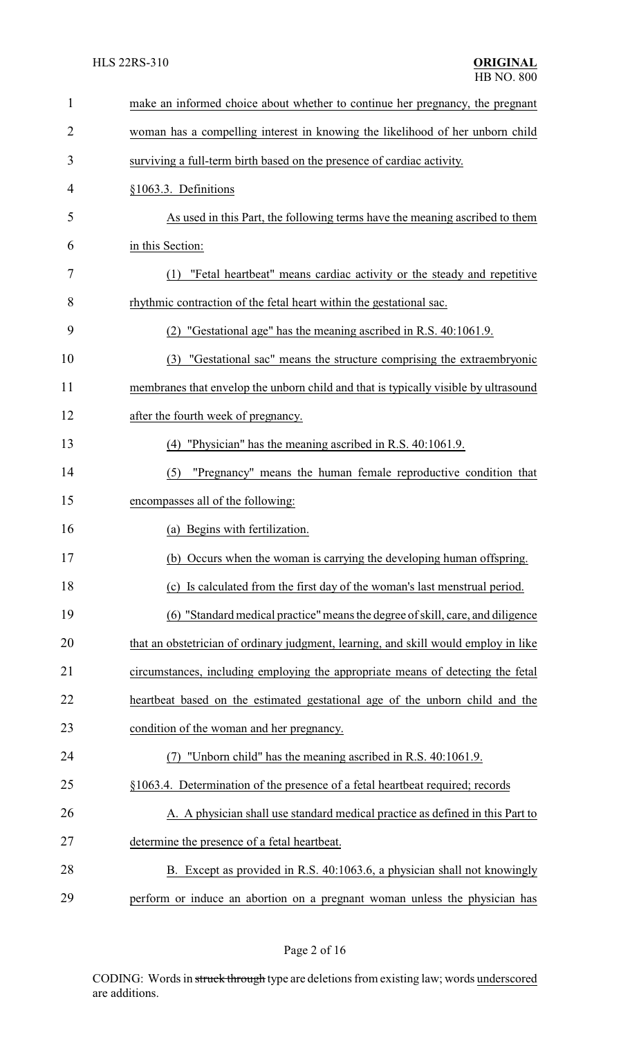| 1              | make an informed choice about whether to continue her pregnancy, the pregnant       |
|----------------|-------------------------------------------------------------------------------------|
| $\overline{2}$ | woman has a compelling interest in knowing the likelihood of her unborn child       |
| 3              | surviving a full-term birth based on the presence of cardiac activity.              |
| 4              | §1063.3. Definitions                                                                |
| 5              | As used in this Part, the following terms have the meaning ascribed to them         |
| 6              | in this Section:                                                                    |
| 7              | (1) "Fetal heartbeat" means cardiac activity or the steady and repetitive           |
| 8              | rhythmic contraction of the fetal heart within the gestational sac.                 |
| 9              | "Gestational age" has the meaning ascribed in R.S. 40:1061.9.                       |
| 10             | (3) "Gestational sac" means the structure comprising the extraembryonic             |
| 11             | membranes that envelop the unborn child and that is typically visible by ultrasound |
| 12             | after the fourth week of pregnancy.                                                 |
| 13             | "Physician" has the meaning ascribed in R.S. 40:1061.9.<br>(4)                      |
| 14             | "Pregnancy" means the human female reproductive condition that<br>(5)               |
| 15             | encompasses all of the following:                                                   |
| 16             | (a) Begins with fertilization.                                                      |
| 17             | (b) Occurs when the woman is carrying the developing human offspring.               |
| 18             | (c) Is calculated from the first day of the woman's last menstrual period.          |
| 19             | (6) "Standard medical practice" means the degree of skill, care, and diligence      |
| 20             | that an obstetrician of ordinary judgment, learning, and skill would employ in like |
| 21             | circumstances, including employing the appropriate means of detecting the fetal     |
| 22             | heartbeat based on the estimated gestational age of the unborn child and the        |
| 23             | condition of the woman and her pregnancy.                                           |
| 24             | "Unborn child" has the meaning ascribed in R.S. 40:1061.9.                          |
| 25             | §1063.4. Determination of the presence of a fetal heartbeat required; records       |
| 26             | A. A physician shall use standard medical practice as defined in this Part to       |
| 27             | determine the presence of a fetal heartbeat.                                        |
|                |                                                                                     |
| 28             | B. Except as provided in R.S. 40:1063.6, a physician shall not knowingly            |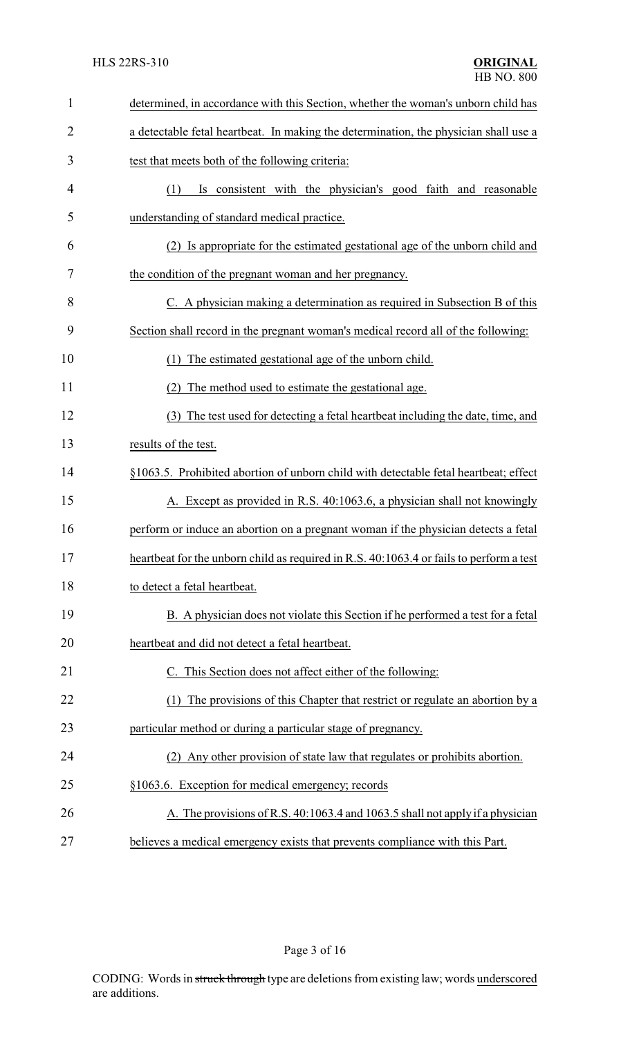| $\mathbf{1}$   | determined, in accordance with this Section, whether the woman's unborn child has       |
|----------------|-----------------------------------------------------------------------------------------|
| $\overline{2}$ | a detectable fetal heartbeat. In making the determination, the physician shall use a    |
| 3              | test that meets both of the following criteria:                                         |
| 4              | Is consistent with the physician's good faith and reasonable<br>(1)                     |
| 5              | understanding of standard medical practice.                                             |
| 6              | (2) Is appropriate for the estimated gestational age of the unborn child and            |
| 7              | the condition of the pregnant woman and her pregnancy.                                  |
| 8              | C. A physician making a determination as required in Subsection B of this               |
| 9              | Section shall record in the pregnant woman's medical record all of the following:       |
| 10             | The estimated gestational age of the unborn child.                                      |
| 11             | The method used to estimate the gestational age.<br>(2)                                 |
| 12             | The test used for detecting a fetal heartbeat including the date, time, and<br>(3)      |
| 13             | results of the test.                                                                    |
| 14             | §1063.5. Prohibited abortion of unborn child with detectable fetal heartbeat; effect    |
| 15             | A. Except as provided in R.S. 40:1063.6, a physician shall not knowingly                |
| 16             | perform or induce an abortion on a pregnant woman if the physician detects a fetal      |
| 17             | heartbeat for the unborn child as required in R.S. 40:1063.4 or fails to perform a test |
| 18             | to detect a fetal heartbeat.                                                            |
| 19             | B. A physician does not violate this Section if he performed a test for a fetal         |
| 20             | heartbeat and did not detect a fetal heartbeat.                                         |
| 21             | This Section does not affect either of the following:                                   |
| 22             | The provisions of this Chapter that restrict or regulate an abortion by a               |
| 23             | particular method or during a particular stage of pregnancy.                            |
| 24             | (2) Any other provision of state law that regulates or prohibits abortion.              |
| 25             | §1063.6. Exception for medical emergency; records                                       |
| 26             | A. The provisions of R.S. 40:1063.4 and 1063.5 shall not apply if a physician           |
| 27             | believes a medical emergency exists that prevents compliance with this Part.            |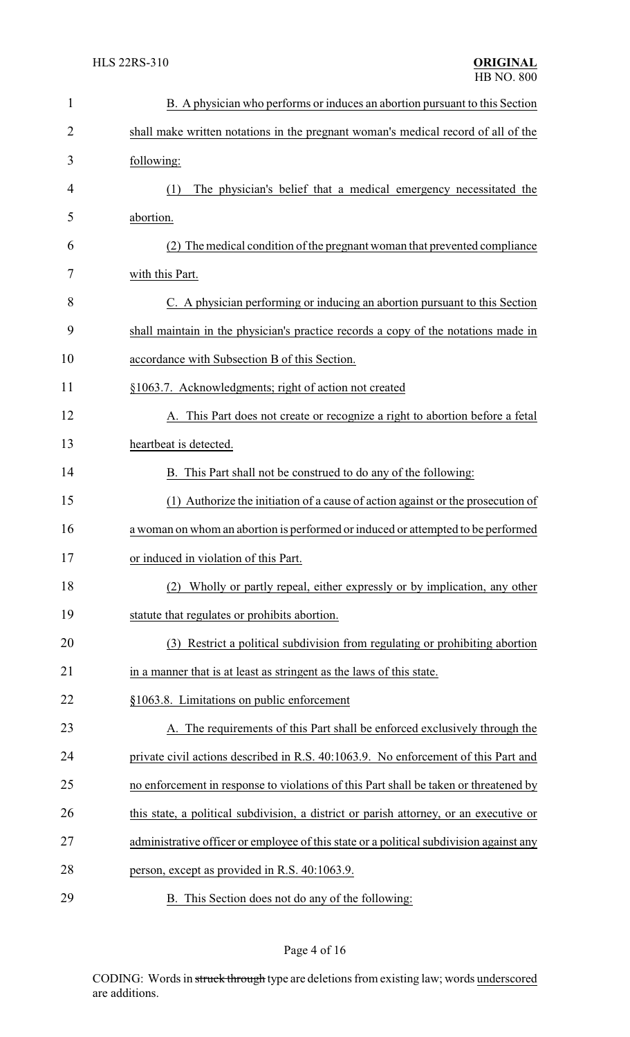| $\mathbf{1}$   | B. A physician who performs or induces an abortion pursuant to this Section             |
|----------------|-----------------------------------------------------------------------------------------|
| $\overline{2}$ | shall make written notations in the pregnant woman's medical record of all of the       |
| 3              | following:                                                                              |
| 4              | The physician's belief that a medical emergency necessitated the<br>(1)                 |
| 5              | abortion.                                                                               |
| 6              | (2) The medical condition of the pregnant woman that prevented compliance               |
| 7              | with this Part.                                                                         |
| 8              | C. A physician performing or inducing an abortion pursuant to this Section              |
| 9              | shall maintain in the physician's practice records a copy of the notations made in      |
| 10             | accordance with Subsection B of this Section.                                           |
| 11             | §1063.7. Acknowledgments; right of action not created                                   |
| 12             | A. This Part does not create or recognize a right to abortion before a fetal            |
| 13             | heartbeat is detected.                                                                  |
| 14             | B. This Part shall not be construed to do any of the following:                         |
| 15             | (1) Authorize the initiation of a cause of action against or the prosecution of         |
| 16             | a woman on whom an abortion is performed or induced or attempted to be performed        |
| 17             | or induced in violation of this Part.                                                   |
| 18             | Wholly or partly repeal, either expressly or by implication, any other<br>(2)           |
| 19             | statute that regulates or prohibits abortion.                                           |
| 20             | (3) Restrict a political subdivision from regulating or prohibiting abortion            |
| 21             | in a manner that is at least as stringent as the laws of this state.                    |
| 22             | §1063.8. Limitations on public enforcement                                              |
| 23             | A. The requirements of this Part shall be enforced exclusively through the              |
| 24             | private civil actions described in R.S. 40:1063.9. No enforcement of this Part and      |
| 25             | no enforcement in response to violations of this Part shall be taken or threatened by   |
| 26             | this state, a political subdivision, a district or parish attorney, or an executive or  |
| 27             | administrative officer or employee of this state or a political subdivision against any |
| 28             | person, except as provided in R.S. 40:1063.9.                                           |
| 29             | B. This Section does not do any of the following:                                       |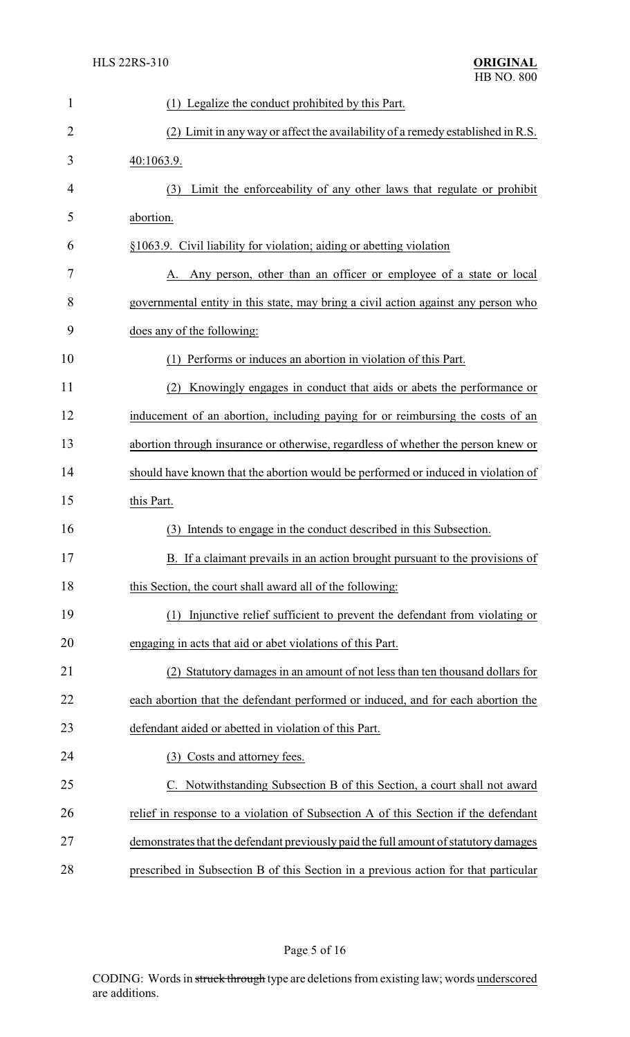| $\mathbf{1}$   | (1) Legalize the conduct prohibited by this Part.                                    |
|----------------|--------------------------------------------------------------------------------------|
| $\overline{2}$ | (2) Limit in any way or affect the availability of a remedy established in R.S.      |
| 3              | 40:1063.9.                                                                           |
| 4              | Limit the enforceability of any other laws that regulate or prohibit<br>(3)          |
| 5              | abortion.                                                                            |
| 6              | §1063.9. Civil liability for violation; aiding or abetting violation                 |
| 7              | Any person, other than an officer or employee of a state or local                    |
| 8              | governmental entity in this state, may bring a civil action against any person who   |
| 9              | does any of the following:                                                           |
| 10             | Performs or induces an abortion in violation of this Part.<br>(1)                    |
| 11             | Knowingly engages in conduct that aids or abets the performance or                   |
| 12             | inducement of an abortion, including paying for or reimbursing the costs of an       |
| 13             | abortion through insurance or otherwise, regardless of whether the person knew or    |
| 14             | should have known that the abortion would be performed or induced in violation of    |
| 15             | this Part.                                                                           |
| 16             | Intends to engage in the conduct described in this Subsection.<br>(3)                |
| 17             | B. If a claimant prevails in an action brought pursuant to the provisions of         |
| 18             | this Section, the court shall award all of the following:                            |
| 19             | Injunctive relief sufficient to prevent the defendant from violating or<br>(1)       |
| 20             | engaging in acts that aid or abet violations of this Part.                           |
| 21             | (2) Statutory damages in an amount of not less than ten thousand dollars for         |
| 22             | each abortion that the defendant performed or induced, and for each abortion the     |
| 23             | defendant aided or abetted in violation of this Part.                                |
| 24             | Costs and attorney fees.<br>(3)                                                      |
| 25             | Notwithstanding Subsection B of this Section, a court shall not award                |
| 26             | relief in response to a violation of Subsection A of this Section if the defendant   |
| 27             | demonstrates that the defendant previously paid the full amount of statutory damages |
| 28             | prescribed in Subsection B of this Section in a previous action for that particular  |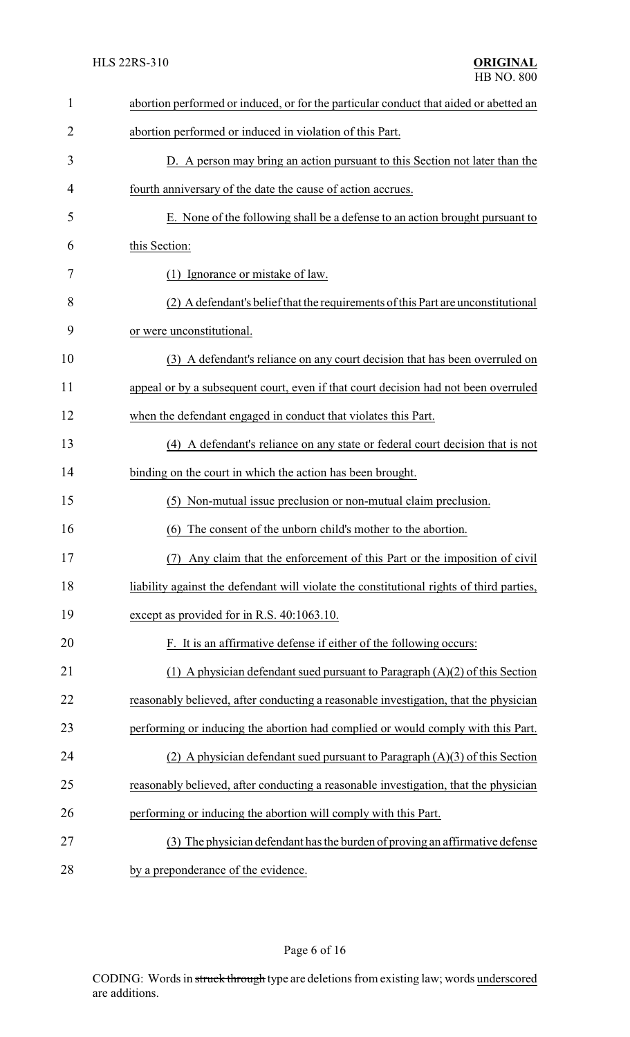| $\mathbf{1}$   | abortion performed or induced, or for the particular conduct that aided or abetted an    |
|----------------|------------------------------------------------------------------------------------------|
| $\overline{2}$ | abortion performed or induced in violation of this Part.                                 |
| 3              | D. A person may bring an action pursuant to this Section not later than the              |
| 4              | fourth anniversary of the date the cause of action accrues.                              |
| 5              | E. None of the following shall be a defense to an action brought pursuant to             |
| 6              | this Section:                                                                            |
| 7              | (1) Ignorance or mistake of law.                                                         |
| 8              | (2) A defendant's belief that the requirements of this Part are unconstitutional         |
| 9              | or were unconstitutional.                                                                |
| 10             | (3) A defendant's reliance on any court decision that has been overruled on              |
| 11             | appeal or by a subsequent court, even if that court decision had not been overruled      |
| 12             | when the defendant engaged in conduct that violates this Part.                           |
| 13             | (4) A defendant's reliance on any state or federal court decision that is not            |
| 14             | binding on the court in which the action has been brought.                               |
| 15             | Non-mutual issue preclusion or non-mutual claim preclusion.<br>(5)                       |
| 16             | The consent of the unborn child's mother to the abortion.<br>(6)                         |
| 17             | Any claim that the enforcement of this Part or the imposition of civil                   |
| 18             | liability against the defendant will violate the constitutional rights of third parties, |
| 19             | except as provided for in R.S. 40:1063.10.                                               |
| 20             | F. It is an affirmative defense if either of the following occurs:                       |
| 21             | (1) A physician defendant sued pursuant to Paragraph $(A)(2)$ of this Section            |
| 22             | reasonably believed, after conducting a reasonable investigation, that the physician     |
| 23             | performing or inducing the abortion had complied or would comply with this Part.         |
| 24             | (2) A physician defendant sued pursuant to Paragraph $(A)(3)$ of this Section            |
| 25             | reasonably believed, after conducting a reasonable investigation, that the physician     |
| 26             | performing or inducing the abortion will comply with this Part.                          |
| 27             | (3) The physician defendant has the burden of proving an affirmative defense             |
| 28             | by a preponderance of the evidence.                                                      |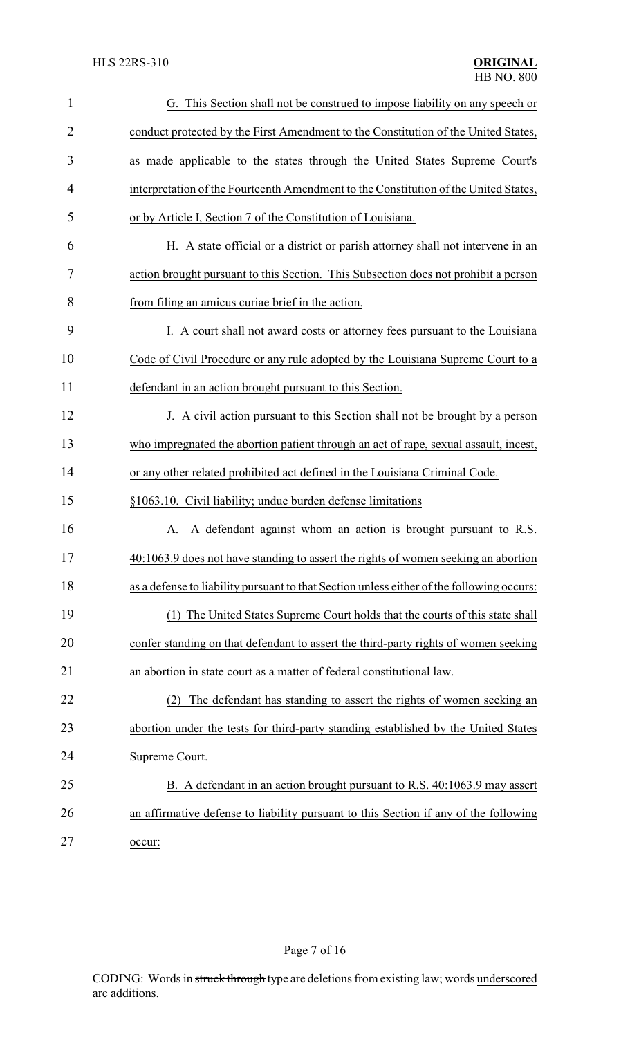| $\mathbf{1}$   | G. This Section shall not be construed to impose liability on any speech or               |
|----------------|-------------------------------------------------------------------------------------------|
| $\overline{2}$ | conduct protected by the First Amendment to the Constitution of the United States,        |
| 3              | as made applicable to the states through the United States Supreme Court's                |
| 4              | interpretation of the Fourteenth Amendment to the Constitution of the United States,      |
| 5              | or by Article I, Section 7 of the Constitution of Louisiana.                              |
| 6              | H. A state official or a district or parish attorney shall not intervene in an            |
| 7              | action brought pursuant to this Section. This Subsection does not prohibit a person       |
| 8              | from filing an amicus curiae brief in the action.                                         |
| 9              | I. A court shall not award costs or attorney fees pursuant to the Louisiana               |
| 10             | Code of Civil Procedure or any rule adopted by the Louisiana Supreme Court to a           |
| 11             | defendant in an action brought pursuant to this Section.                                  |
| 12             | J. A civil action pursuant to this Section shall not be brought by a person               |
| 13             | who impregnated the abortion patient through an act of rape, sexual assault, incest,      |
| 14             | or any other related prohibited act defined in the Louisiana Criminal Code.               |
| 15             | §1063.10. Civil liability; undue burden defense limitations                               |
| 16             | A defendant against whom an action is brought pursuant to R.S.<br>А.                      |
| 17             | 40:1063.9 does not have standing to assert the rights of women seeking an abortion        |
| 18             | as a defense to liability pursuant to that Section unless either of the following occurs: |
| 19             | The United States Supreme Court holds that the courts of this state shall<br>(1)          |
| 20             | confer standing on that defendant to assert the third-party rights of women seeking       |
| 21             | an abortion in state court as a matter of federal constitutional law.                     |
| 22             | The defendant has standing to assert the rights of women seeking an<br>(2)                |
| 23             | abortion under the tests for third-party standing established by the United States        |
| 24             | Supreme Court.                                                                            |
| 25             | B. A defendant in an action brought pursuant to R.S. 40:1063.9 may assert                 |
| 26             | an affirmative defense to liability pursuant to this Section if any of the following      |
| 27             | occur:                                                                                    |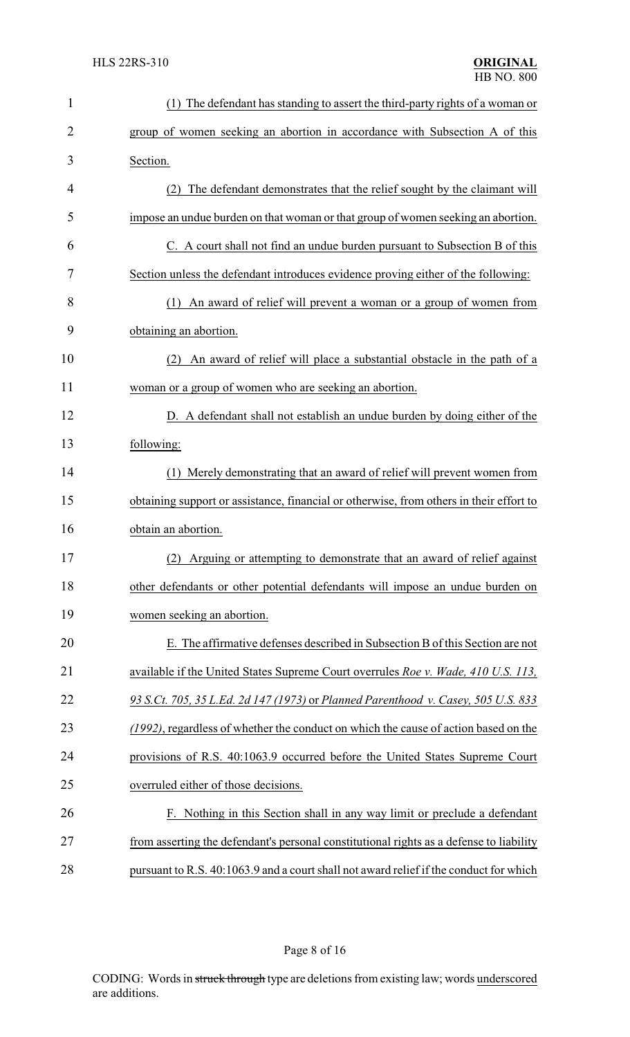| $\mathbf{1}$   | (1) The defendant has standing to assert the third-party rights of a woman or           |
|----------------|-----------------------------------------------------------------------------------------|
| $\overline{2}$ | group of women seeking an abortion in accordance with Subsection A of this              |
| 3              | Section.                                                                                |
| 4              | The defendant demonstrates that the relief sought by the claimant will                  |
| 5              | impose an undue burden on that woman or that group of women seeking an abortion.        |
| 6              | C. A court shall not find an undue burden pursuant to Subsection B of this              |
| 7              | Section unless the defendant introduces evidence proving either of the following:       |
| 8              | An award of relief will prevent a woman or a group of women from<br>(1)                 |
| 9              | obtaining an abortion.                                                                  |
| 10             | An award of relief will place a substantial obstacle in the path of a<br>(2)            |
| 11             | woman or a group of women who are seeking an abortion.                                  |
| 12             | D. A defendant shall not establish an undue burden by doing either of the               |
| 13             | following:                                                                              |
| 14             | (1) Merely demonstrating that an award of relief will prevent women from                |
| 15             | obtaining support or assistance, financial or otherwise, from others in their effort to |
| 16             | obtain an abortion.                                                                     |
| 17             | (2) Arguing or attempting to demonstrate that an award of relief against                |
| 18             | other defendants or other potential defendants will impose an undue burden on           |
| 19             | women seeking an abortion.                                                              |
| 20             | E. The affirmative defenses described in Subsection B of this Section are not           |
| 21             | available if the United States Supreme Court overrules Roe v. Wade, 410 U.S. 113,       |
| 22             | 93 S.Ct. 705, 35 L.Ed. 2d 147 (1973) or Planned Parenthood v. Casey, 505 U.S. 833       |
| 23             | (1992), regardless of whether the conduct on which the cause of action based on the     |
| 24             | provisions of R.S. 40:1063.9 occurred before the United States Supreme Court            |
| 25             | overruled either of those decisions.                                                    |
| 26             | F. Nothing in this Section shall in any way limit or preclude a defendant               |
| 27             | from asserting the defendant's personal constitutional rights as a defense to liability |
| 28             | pursuant to R.S. 40:1063.9 and a court shall not award relief if the conduct for which  |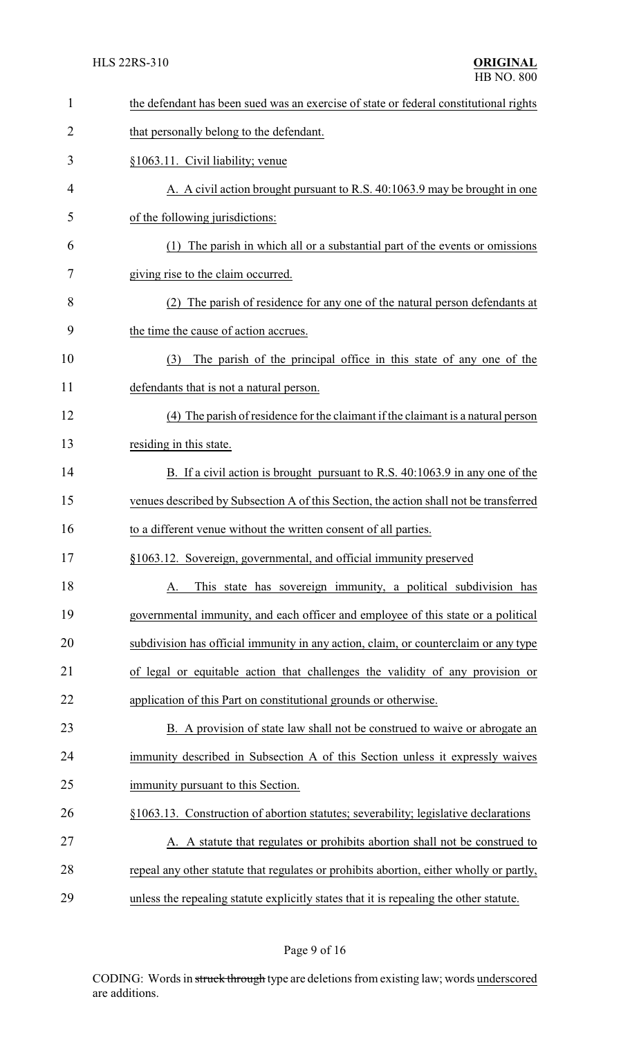| $\mathbf{1}$ | the defendant has been sued was an exercise of state or federal constitutional rights   |
|--------------|-----------------------------------------------------------------------------------------|
| 2            | that personally belong to the defendant.                                                |
| 3            | §1063.11. Civil liability; venue                                                        |
| 4            | A. A civil action brought pursuant to R.S. 40:1063.9 may be brought in one              |
| 5            | of the following jurisdictions:                                                         |
| 6            | The parish in which all or a substantial part of the events or omissions<br>(1)         |
| 7            | giving rise to the claim occurred.                                                      |
| 8            | (2) The parish of residence for any one of the natural person defendants at             |
| 9            | the time the cause of action accrues.                                                   |
| 10           | The parish of the principal office in this state of any one of the<br>(3)               |
| 11           | defendants that is not a natural person.                                                |
| 12           | (4) The parish of residence for the claimant if the claimant is a natural person        |
| 13           | residing in this state.                                                                 |
| 14           | B. If a civil action is brought pursuant to R.S. 40:1063.9 in any one of the            |
| 15           | venues described by Subsection A of this Section, the action shall not be transferred   |
| 16           | to a different venue without the written consent of all parties.                        |
| 17           | §1063.12. Sovereign, governmental, and official immunity preserved                      |
| 18           | This state has sovereign immunity, a political subdivision has<br>A.                    |
| 19           | governmental immunity, and each officer and employee of this state or a political       |
| 20           | subdivision has official immunity in any action, claim, or counterclaim or any type     |
| 21           | of legal or equitable action that challenges the validity of any provision or           |
| 22           | application of this Part on constitutional grounds or otherwise.                        |
| 23           | B. A provision of state law shall not be construed to waive or abrogate an              |
| 24           | immunity described in Subsection A of this Section unless it expressly waives           |
| 25           | immunity pursuant to this Section.                                                      |
| 26           | §1063.13. Construction of abortion statutes; severability; legislative declarations     |
| 27           | A. A statute that regulates or prohibits abortion shall not be construed to             |
| 28           | repeal any other statute that regulates or prohibits abortion, either wholly or partly, |
| 29           | unless the repealing statute explicitly states that it is repealing the other statute.  |

# Page 9 of 16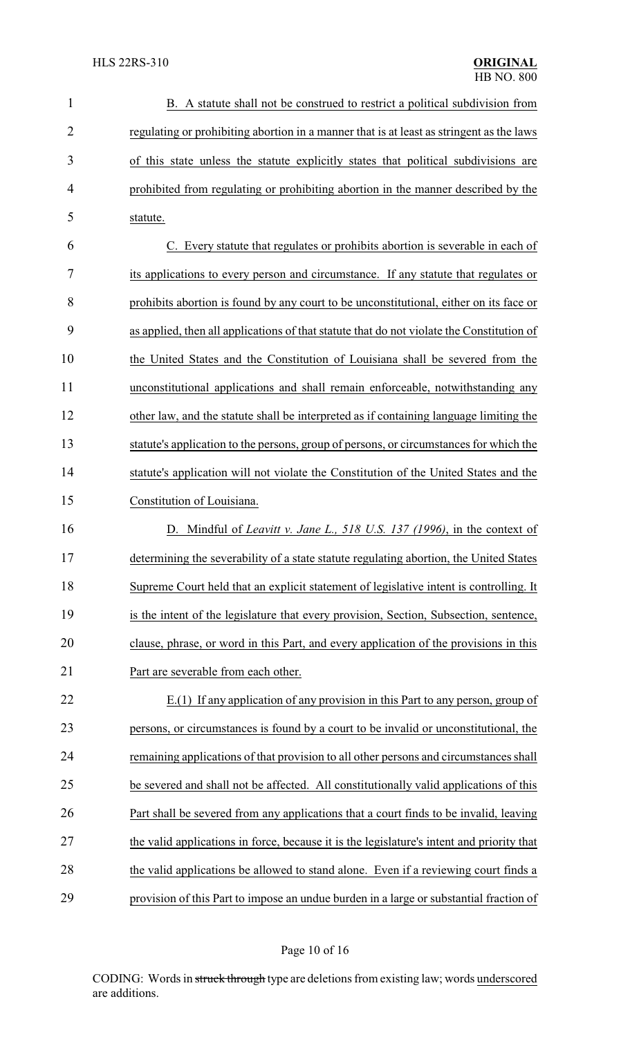| $\mathbf{1}$   | B. A statute shall not be construed to restrict a political subdivision from              |
|----------------|-------------------------------------------------------------------------------------------|
| $\overline{2}$ | regulating or prohibiting abortion in a manner that is at least as stringent as the laws  |
| 3              | of this state unless the statute explicitly states that political subdivisions are        |
| 4              | prohibited from regulating or prohibiting abortion in the manner described by the         |
| 5              | statute.                                                                                  |
| 6              | C. Every statute that regulates or prohibits abortion is severable in each of             |
| 7              | its applications to every person and circumstance. If any statute that regulates or       |
| 8              | prohibits abortion is found by any court to be unconstitutional, either on its face or    |
| 9              | as applied, then all applications of that statute that do not violate the Constitution of |
| 10             | the United States and the Constitution of Louisiana shall be severed from the             |
| 11             | unconstitutional applications and shall remain enforceable, notwithstanding any           |
| 12             | other law, and the statute shall be interpreted as if containing language limiting the    |
| 13             | statute's application to the persons, group of persons, or circumstances for which the    |
| 14             | statute's application will not violate the Constitution of the United States and the      |
| 15             | Constitution of Louisiana.                                                                |
| 16             | D. Mindful of <i>Leavitt v. Jane L., 518 U.S. 137 (1996)</i> , in the context of          |
| 17             | determining the severability of a state statute regulating abortion, the United States    |
| 18             | Supreme Court held that an explicit statement of legislative intent is controlling. It    |
| 19             | is the intent of the legislature that every provision, Section, Subsection, sentence,     |
| 20             | clause, phrase, or word in this Part, and every application of the provisions in this     |
| 21             | Part are severable from each other.                                                       |
| 22             | E.(1) If any application of any provision in this Part to any person, group of            |
| 23             | persons, or circumstances is found by a court to be invalid or unconstitutional, the      |
| 24             | remaining applications of that provision to all other persons and circumstances shall     |
| 25             | be severed and shall not be affected. All constitutionally valid applications of this     |
| 26             | Part shall be severed from any applications that a court finds to be invalid, leaving     |
| 27             | the valid applications in force, because it is the legislature's intent and priority that |
| 28             | the valid applications be allowed to stand alone. Even if a reviewing court finds a       |
| 29             | provision of this Part to impose an undue burden in a large or substantial fraction of    |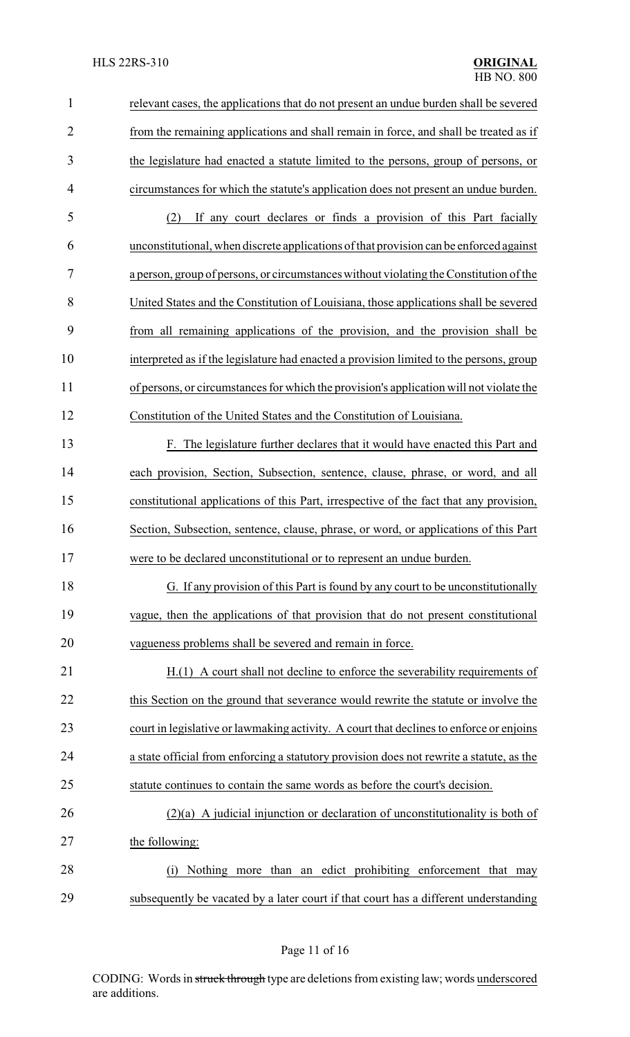| $\mathbf{1}$   | relevant cases, the applications that do not present an undue burden shall be severed    |
|----------------|------------------------------------------------------------------------------------------|
| $\overline{2}$ | from the remaining applications and shall remain in force, and shall be treated as if    |
| 3              | the legislature had enacted a statute limited to the persons, group of persons, or       |
| 4              | circumstances for which the statute's application does not present an undue burden.      |
| 5              | If any court declares or finds a provision of this Part facially<br>(2)                  |
| 6              | unconstitutional, when discrete applications of that provision can be enforced against   |
| 7              | a person, group of persons, or circumstances without violating the Constitution of the   |
| 8              | United States and the Constitution of Louisiana, those applications shall be severed     |
| 9              | from all remaining applications of the provision, and the provision shall be             |
| 10             | interpreted as if the legislature had enacted a provision limited to the persons, group  |
| 11             | of persons, or circumstances for which the provision's application will not violate the  |
| 12             | Constitution of the United States and the Constitution of Louisiana.                     |
| 13             | F. The legislature further declares that it would have enacted this Part and             |
| 14             | each provision, Section, Subsection, sentence, clause, phrase, or word, and all          |
| 15             | constitutional applications of this Part, irrespective of the fact that any provision,   |
| 16             | Section, Subsection, sentence, clause, phrase, or word, or applications of this Part     |
| 17             | were to be declared unconstitutional or to represent an undue burden.                    |
| 18             | G. If any provision of this Part is found by any court to be unconstitutionally          |
| 19             | vague, then the applications of that provision that do not present constitutional        |
| 20             | vagueness problems shall be severed and remain in force.                                 |
| 21             | H.(1) A court shall not decline to enforce the severability requirements of              |
| 22             | this Section on the ground that severance would rewrite the statute or involve the       |
| 23             | court in legislative or lawmaking activity. A court that declines to enforce or enjoins  |
| 24             | a state official from enforcing a statutory provision does not rewrite a statute, as the |
| 25             | statute continues to contain the same words as before the court's decision.              |
| 26             | $(2)(a)$ A judicial injunction or declaration of unconstitutionality is both of          |
| 27             | the following:                                                                           |
| 28             | Nothing more than an edict prohibiting enforcement that may<br>(i)                       |
| 29             | subsequently be vacated by a later court if that court has a different understanding     |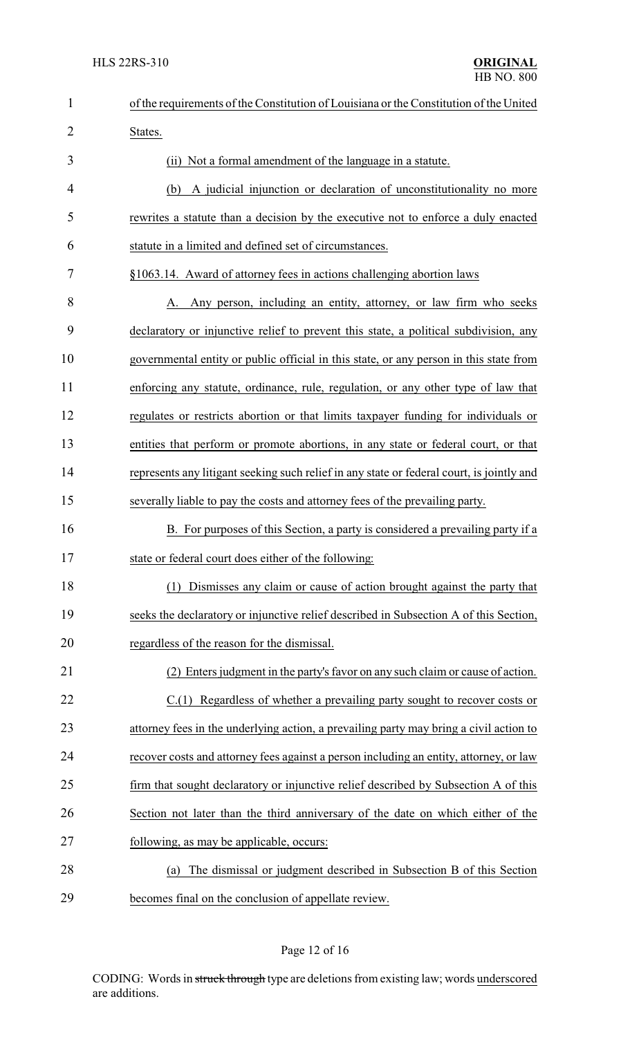| $\mathbf{1}$   | of the requirements of the Constitution of Louisiana or the Constitution of the United    |
|----------------|-------------------------------------------------------------------------------------------|
| $\overline{2}$ | States.                                                                                   |
| 3              | (ii) Not a formal amendment of the language in a statute.                                 |
| 4              | A judicial injunction or declaration of unconstitutionality no more<br>(b)                |
| 5              | rewrites a statute than a decision by the executive not to enforce a duly enacted         |
| 6              | statute in a limited and defined set of circumstances.                                    |
| 7              | §1063.14. Award of attorney fees in actions challenging abortion laws                     |
| 8              | A. Any person, including an entity, attorney, or law firm who seeks                       |
| 9              | declaratory or injunctive relief to prevent this state, a political subdivision, any      |
| 10             | governmental entity or public official in this state, or any person in this state from    |
| 11             | enforcing any statute, ordinance, rule, regulation, or any other type of law that         |
| 12             | regulates or restricts abortion or that limits taxpayer funding for individuals or        |
| 13             | entities that perform or promote abortions, in any state or federal court, or that        |
| 14             | represents any litigant seeking such relief in any state or federal court, is jointly and |
| 15             | severally liable to pay the costs and attorney fees of the prevailing party.              |
| 16             | B. For purposes of this Section, a party is considered a prevailing party if a            |
| 17             | state or federal court does either of the following:                                      |
| 18             | (1) Dismisses any claim or cause of action brought against the party that                 |
| 19             | seeks the declaratory or injunctive relief described in Subsection A of this Section,     |
| 20             | regardless of the reason for the dismissal.                                               |
| 21             | (2) Enters judgment in the party's favor on any such claim or cause of action.            |
| 22             | C.(1) Regardless of whether a prevailing party sought to recover costs or                 |
| 23             | attorney fees in the underlying action, a prevailing party may bring a civil action to    |
| 24             | recover costs and attorney fees against a person including an entity, attorney, or law    |
| 25             | firm that sought declaratory or injunctive relief described by Subsection A of this       |
| 26             | Section not later than the third anniversary of the date on which either of the           |
| 27             | following, as may be applicable, occurs:                                                  |
| 28             | The dismissal or judgment described in Subsection B of this Section<br>(a)                |
| 29             | becomes final on the conclusion of appellate review.                                      |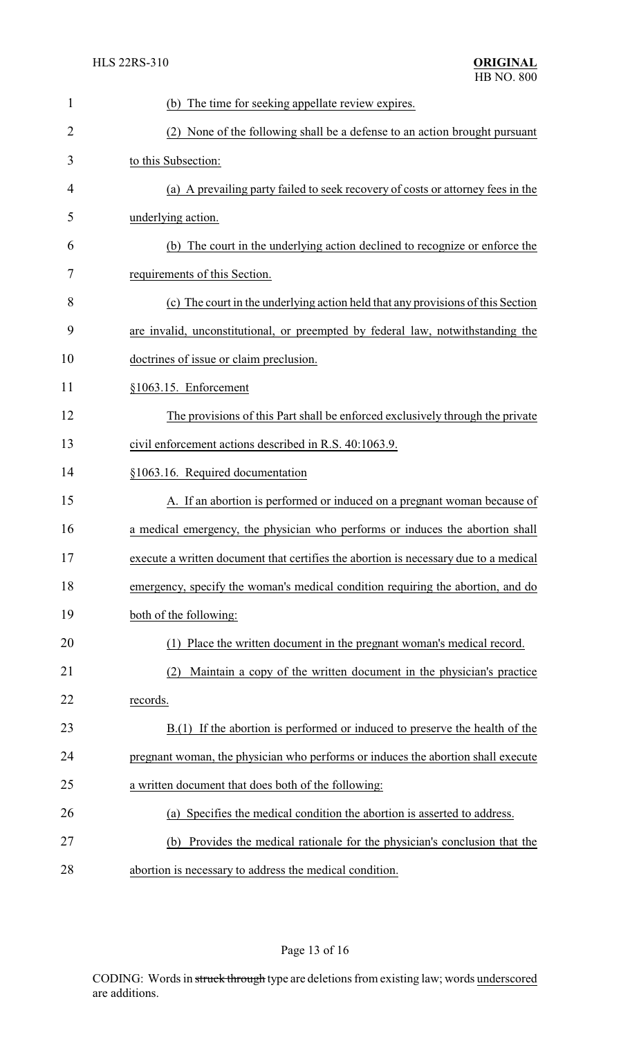| 1              | (b) The time for seeking appellate review expires.                                   |
|----------------|--------------------------------------------------------------------------------------|
| $\overline{2}$ | None of the following shall be a defense to an action brought pursuant<br>(2)        |
| 3              | to this Subsection:                                                                  |
| 4              | (a) A prevailing party failed to seek recovery of costs or attorney fees in the      |
| 5              | underlying action.                                                                   |
| 6              | (b) The court in the underlying action declined to recognize or enforce the          |
| 7              | requirements of this Section.                                                        |
| 8              | (c) The court in the underlying action held that any provisions of this Section      |
| 9              | are invalid, unconstitutional, or preempted by federal law, notwithstanding the      |
| 10             | doctrines of issue or claim preclusion.                                              |
| 11             | §1063.15. Enforcement                                                                |
| 12             | The provisions of this Part shall be enforced exclusively through the private        |
| 13             | civil enforcement actions described in R.S. 40:1063.9.                               |
| 14             | §1063.16. Required documentation                                                     |
| 15             | A. If an abortion is performed or induced on a pregnant woman because of             |
| 16             | a medical emergency, the physician who performs or induces the abortion shall        |
| 17             | execute a written document that certifies the abortion is necessary due to a medical |
| 18             | emergency, specify the woman's medical condition requiring the abortion, and do      |
| 19             | both of the following:                                                               |
| 20             | Place the written document in the pregnant woman's medical record.                   |
| 21             | Maintain a copy of the written document in the physician's practice<br>(2)           |
| 22             | records.                                                                             |
| 23             | $B(1)$ If the abortion is performed or induced to preserve the health of the         |
| 24             | pregnant woman, the physician who performs or induces the abortion shall execute     |
| 25             | a written document that does both of the following:                                  |
| 26             | (a) Specifies the medical condition the abortion is asserted to address.             |
| 27             | Provides the medical rationale for the physician's conclusion that the<br>(b)        |
| 28             | abortion is necessary to address the medical condition.                              |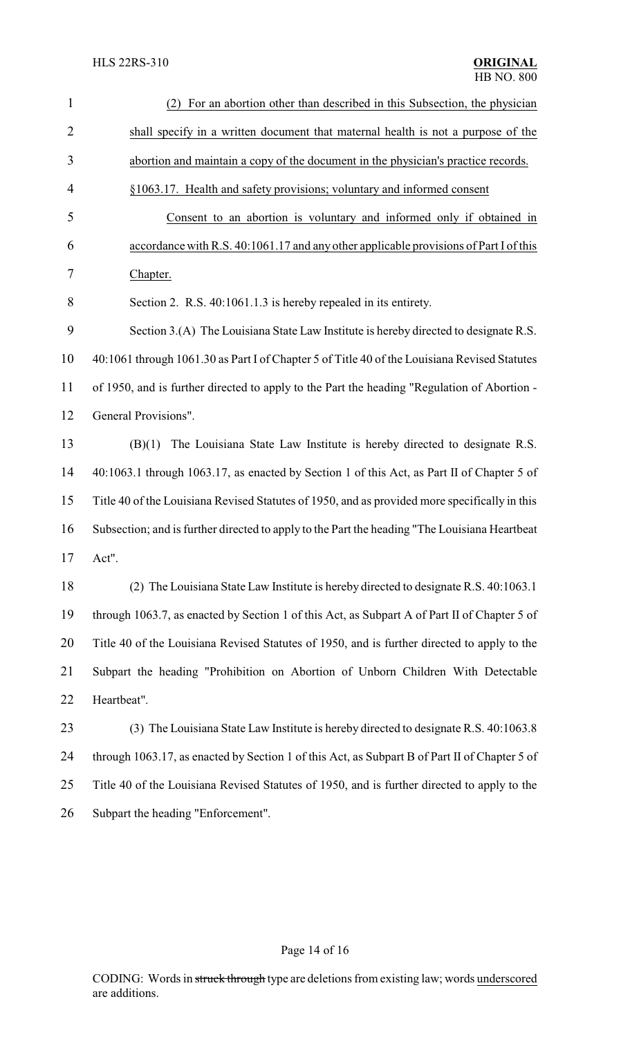| $\mathbf{1}$   | (2) For an abortion other than described in this Subsection, the physician                    |  |  |
|----------------|-----------------------------------------------------------------------------------------------|--|--|
| $\overline{2}$ | shall specify in a written document that maternal health is not a purpose of the              |  |  |
| 3              | abortion and maintain a copy of the document in the physician's practice records.             |  |  |
| $\overline{4}$ | §1063.17. Health and safety provisions; voluntary and informed consent                        |  |  |
| 5              | Consent to an abortion is voluntary and informed only if obtained in                          |  |  |
| 6              | accordance with R.S. 40:1061.17 and any other applicable provisions of Part I of this         |  |  |
| 7              | Chapter.                                                                                      |  |  |
| 8              | Section 2. R.S. 40:1061.1.3 is hereby repealed in its entirety.                               |  |  |
| 9              | Section 3.(A) The Louisiana State Law Institute is hereby directed to designate R.S.          |  |  |
| 10             | 40:1061 through 1061.30 as Part I of Chapter 5 of Title 40 of the Louisiana Revised Statutes  |  |  |
| 11             | of 1950, and is further directed to apply to the Part the heading "Regulation of Abortion -   |  |  |
| 12             | General Provisions".                                                                          |  |  |
| 13             | The Louisiana State Law Institute is hereby directed to designate R.S.<br>(B)(1)              |  |  |
| 14             | 40:1063.1 through 1063.17, as enacted by Section 1 of this Act, as Part II of Chapter 5 of    |  |  |
| 15             | Title 40 of the Louisiana Revised Statutes of 1950, and as provided more specifically in this |  |  |
| 16             | Subsection; and is further directed to apply to the Part the heading "The Louisiana Heartbeat |  |  |
| 17             | Act".                                                                                         |  |  |
| 18             | (2) The Louisiana State Law Institute is hereby directed to designate R.S. 40:1063.1          |  |  |
| 19             | through 1063.7, as enacted by Section 1 of this Act, as Subpart A of Part II of Chapter 5 of  |  |  |
| 20             | Title 40 of the Louisiana Revised Statutes of 1950, and is further directed to apply to the   |  |  |
| 21             | Subpart the heading "Prohibition on Abortion of Unborn Children With Detectable               |  |  |
| 22             | Heartbeat".                                                                                   |  |  |
| 23             | (3) The Louisiana State Law Institute is hereby directed to designate R.S. 40:1063.8          |  |  |
| 24             | through 1063.17, as enacted by Section 1 of this Act, as Subpart B of Part II of Chapter 5 of |  |  |
| 25             | Title 40 of the Louisiana Revised Statutes of 1950, and is further directed to apply to the   |  |  |
| 26             | Subpart the heading "Enforcement".                                                            |  |  |

# Page 14 of 16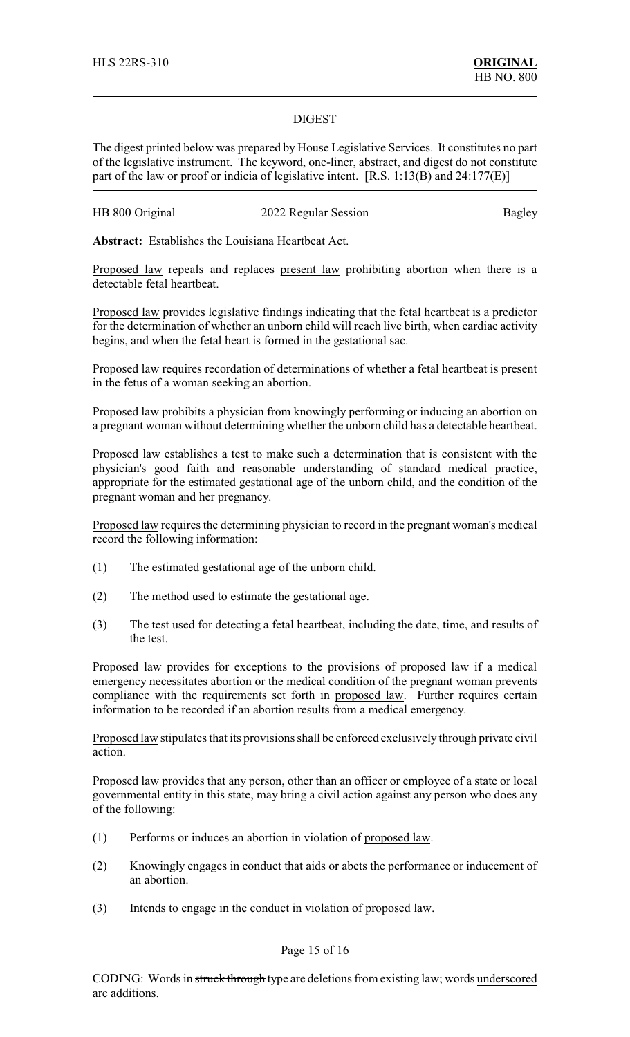#### DIGEST

The digest printed below was prepared by House Legislative Services. It constitutes no part of the legislative instrument. The keyword, one-liner, abstract, and digest do not constitute part of the law or proof or indicia of legislative intent. [R.S. 1:13(B) and 24:177(E)]

| HB 800 Original | 2022 Regular Session | <b>Bagley</b> |
|-----------------|----------------------|---------------|
|-----------------|----------------------|---------------|

**Abstract:** Establishes the Louisiana Heartbeat Act.

Proposed law repeals and replaces present law prohibiting abortion when there is a detectable fetal heartbeat.

Proposed law provides legislative findings indicating that the fetal heartbeat is a predictor for the determination of whether an unborn child will reach live birth, when cardiac activity begins, and when the fetal heart is formed in the gestational sac.

Proposed law requires recordation of determinations of whether a fetal heartbeat is present in the fetus of a woman seeking an abortion.

Proposed law prohibits a physician from knowingly performing or inducing an abortion on a pregnant woman without determining whether the unborn child has a detectable heartbeat.

Proposed law establishes a test to make such a determination that is consistent with the physician's good faith and reasonable understanding of standard medical practice, appropriate for the estimated gestational age of the unborn child, and the condition of the pregnant woman and her pregnancy.

Proposed law requires the determining physician to record in the pregnant woman's medical record the following information:

- (1) The estimated gestational age of the unborn child.
- (2) The method used to estimate the gestational age.
- (3) The test used for detecting a fetal heartbeat, including the date, time, and results of the test.

Proposed law provides for exceptions to the provisions of proposed law if a medical emergency necessitates abortion or the medical condition of the pregnant woman prevents compliance with the requirements set forth in proposed law. Further requires certain information to be recorded if an abortion results from a medical emergency.

Proposed law stipulates that its provisions shall be enforced exclusively through private civil action.

Proposed law provides that any person, other than an officer or employee of a state or local governmental entity in this state, may bring a civil action against any person who does any of the following:

- (1) Performs or induces an abortion in violation of proposed law.
- (2) Knowingly engages in conduct that aids or abets the performance or inducement of an abortion.
- (3) Intends to engage in the conduct in violation of proposed law.

### Page 15 of 16

CODING: Words in struck through type are deletions from existing law; words underscored are additions.